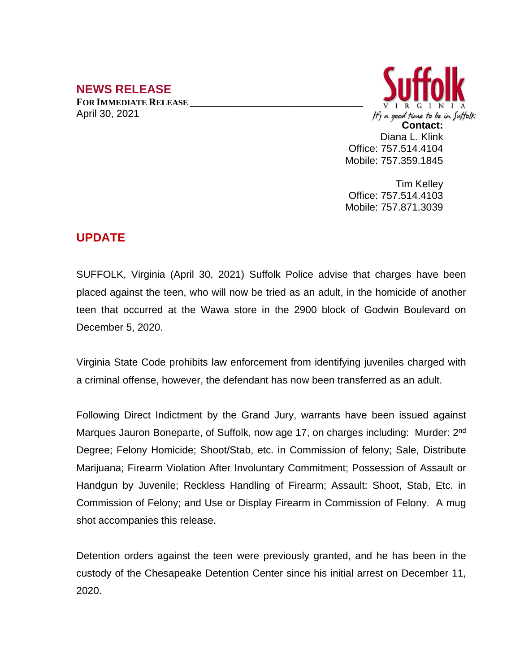# **NEWS RELEASE**

**FOR IMMEDIATE RELEASE \_\_\_\_\_\_\_\_\_\_\_\_\_\_\_\_\_\_\_\_\_\_\_\_\_\_\_\_\_\_\_\_\_\_** April 30, 2021



Tim Kelley Office: 757.514.4103 Mobile: 757.871.3039

### **UPDATE**

SUFFOLK, Virginia (April 30, 2021) Suffolk Police advise that charges have been placed against the teen, who will now be tried as an adult, in the homicide of another teen that occurred at the Wawa store in the 2900 block of Godwin Boulevard on December 5, 2020.

Virginia State Code prohibits law enforcement from identifying juveniles charged with a criminal offense, however, the defendant has now been transferred as an adult.

Following Direct Indictment by the Grand Jury, warrants have been issued against Marques Jauron Boneparte, of Suffolk, now age 17, on charges including: Murder: 2<sup>nd</sup> Degree; Felony Homicide; Shoot/Stab, etc. in Commission of felony; Sale, Distribute Marijuana; Firearm Violation After Involuntary Commitment; Possession of Assault or Handgun by Juvenile; Reckless Handling of Firearm; Assault: Shoot, Stab, Etc. in Commission of Felony; and Use or Display Firearm in Commission of Felony. A mug shot accompanies this release.

Detention orders against the teen were previously granted, and he has been in the custody of the Chesapeake Detention Center since his initial arrest on December 11, 2020.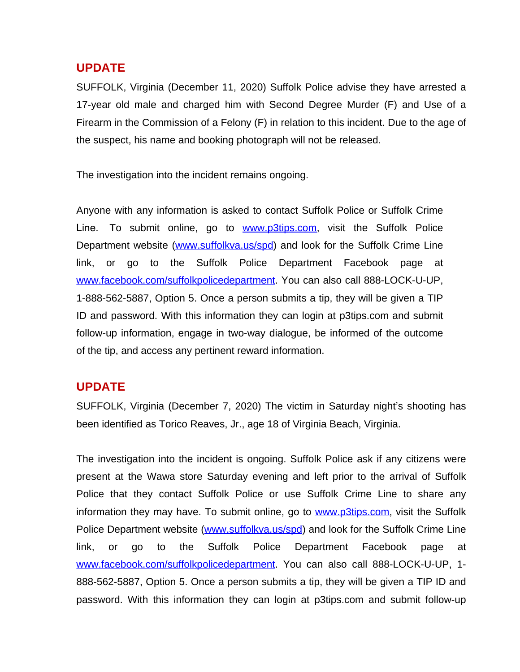#### **UPDATE**

SUFFOLK, Virginia (December 11, 2020) Suffolk Police advise they have arrested a 17-year old male and charged him with Second Degree Murder (F) and Use of a Firearm in the Commission of a Felony (F) in relation to this incident. Due to the age of the suspect, his name and booking photograph will not be released.

The investigation into the incident remains ongoing.

Anyone with any information is asked to contact Suffolk Police or Suffolk Crime Line. To submit online, go to [www.p3tips.com](http://www.p3tips.com), visit the Suffolk Police Department website ([www.suffolkva.us/spd\)](http://www.suffolkva.us/spd) and look for the Suffolk Crime Line link, or go to the Suffolk Police Department Facebook page at [www.facebook.com/suffolkpolicedepartment](http://www.facebook.com/suffolkpolicedepartment). You can also call 888-LOCK-U-UP, 1-888-562-5887, Option 5. Once a person submits a tip, they will be given a TIP ID and password. With this information they can login at p3tips.com and submit follow-up information, engage in two-way dialogue, be informed of the outcome of the tip, and access any pertinent reward information.

## **UPDATE**

SUFFOLK, Virginia (December 7, 2020) The victim in Saturday night's shooting has been identified as Torico Reaves, Jr., age 18 of Virginia Beach, Virginia.

The investigation into the incident is ongoing. Suffolk Police ask if any citizens were present at the Wawa store Saturday evening and left prior to the arrival of Suffolk Police that they contact Suffolk Police or use Suffolk Crime Line to share any information they may have. To submit online, go to [www.p3tips.com,](http://www.p3tips.com) visit the Suffolk Police Department website ([www.suffolkva.us/spd](http://www.suffolkva.us/spd)) and look for the Suffolk Crime Line link, or go to the Suffolk Police Department Facebook page at [www.facebook.com/suffolkpolicedepartment](http://www.facebook.com/suffolkpolicedepartment). You can also call 888-LOCK-U-UP, 1-888-562-5887, Option 5. Once a person submits a tip, they will be given a TIP ID and password. With this information they can login at p3tips.com and submit follow-up